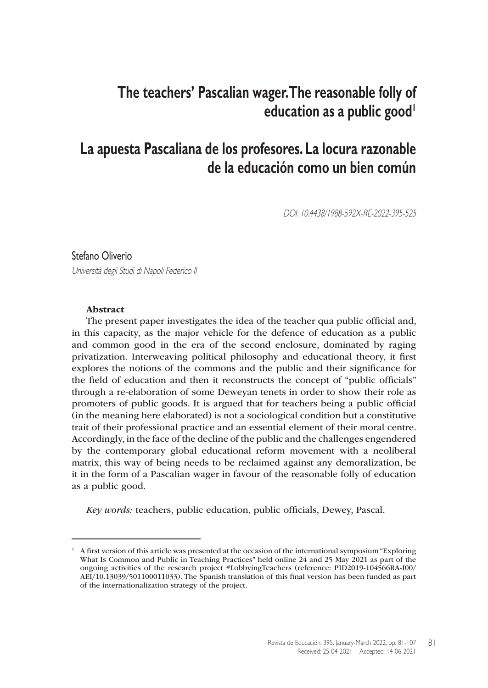# **The teachers' Pascalian wager. The reasonable folly of education as a public good**

## **La apuesta Pascaliana de los profesores. La locura razonable de la educación como un bien común**

DOI: 10.4438/1988-592X-RE-2022-395-525

#### Stefano Oliverio

Università degli Studi di Napoli Federico II

#### Abstract

The present paper investigates the idea of the teacher qua public official and, in this capacity, as the major vehicle for the defence of education as a public and common good in the era of the second enclosure, dominated by raging privatization. Interweaving political philosophy and educational theory, it first explores the notions of the commons and the public and their significance for the field of education and then it reconstructs the concept of "public officials" through a re-elaboration of some Deweyan tenets in order to show their role as promoters of public goods. It is argued that for teachers being a public official (in the meaning here elaborated) is not a sociological condition but a constitutive trait of their professional practice and an essential element of their moral centre. Accordingly, in the face of the decline of the public and the challenges engendered by the contemporary global educational reform movement with a neoliberal matrix, this way of being needs to be reclaimed against any demoralization, be it in the form of a Pascalian wager in favour of the reasonable folly of education as a public good.

*Key words:* teachers, public education, public officials, Dewey, Pascal.

 $1$  A first version of this article was presented at the occasion of the international symposium "Exploring" What Is Common and Public in Teaching Practices" held online 24 and 25 May 2021 as part of the ongoing activities of the research project #LobbyingTeachers (reference: PID2019-104566RA-I00/ AEI/10.13039/501100011033). The Spanish translation of this final version has been funded as part of the internationalization strategy of the project.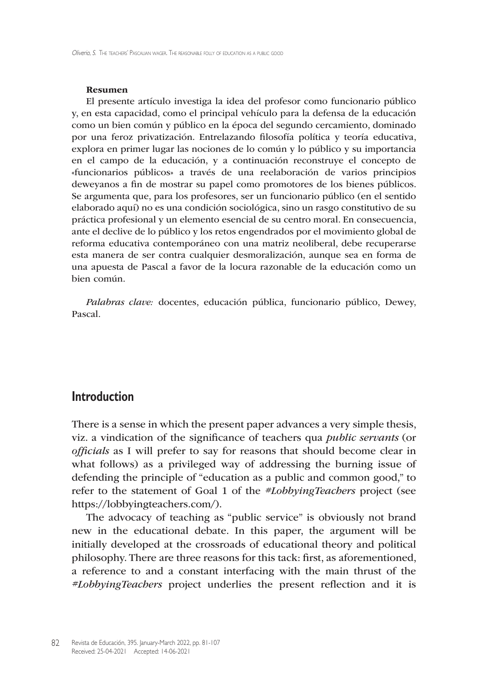#### Resumen

El presente artículo investiga la idea del profesor como funcionario público y, en esta capacidad, como el principal vehículo para la defensa de la educación como un bien común y público en la época del segundo cercamiento, dominado por una feroz privatización. Entrelazando filosofía política y teoría educativa, explora en primer lugar las nociones de lo común y lo público y su importancia en el campo de la educación, y a continuación reconstruye el concepto de «funcionarios públicos» a través de una reelaboración de varios principios deweyanos a fin de mostrar su papel como promotores de los bienes públicos. Se argumenta que, para los profesores, ser un funcionario público (en el sentido elaborado aquí) no es una condición sociológica, sino un rasgo constitutivo de su práctica profesional y un elemento esencial de su centro moral. En consecuencia, ante el declive de lo público y los retos engendrados por el movimiento global de reforma educativa contemporáneo con una matriz neoliberal, debe recuperarse esta manera de ser contra cualquier desmoralización, aunque sea en forma de una apuesta de Pascal a favor de la locura razonable de la educación como un bien común.

*Palabras clave:* docentes, educación pública, funcionario público, Dewey, Pascal.

## **Introduction**

There is a sense in which the present paper advances a very simple thesis, viz. a vindication of the significance of teachers qua *public servants* (or *officials* as I will prefer to say for reasons that should become clear in what follows) as a privileged way of addressing the burning issue of defending the principle of "education as a public and common good," to refer to the statement of Goal 1 of the *#LobbyingTeachers* project (see <https://lobbyingteachers.com>/).

The advocacy of teaching as "public service" is obviously not brand new in the educational debate. In this paper, the argument will be initially developed at the crossroads of educational theory and political philosophy. There are three reasons for this tack: first, as aforementioned, a reference to and a constant interfacing with the main thrust of the *#LobbyingTeachers* project underlies the present reflection and it is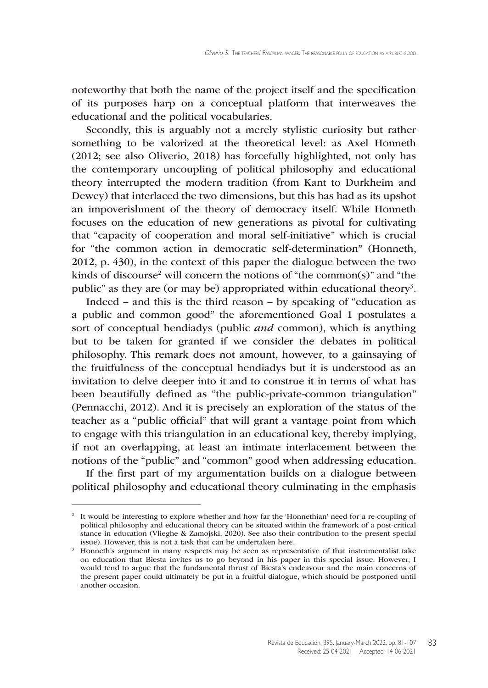noteworthy that both the name of the project itself and the specification of its purposes harp on a conceptual platform that interweaves the educational and the political vocabularies.

Secondly, this is arguably not a merely stylistic curiosity but rather something to be valorized at the theoretical level: as Axel Honneth (2012; see also Oliverio, 2018) has forcefully highlighted, not only has the contemporary uncoupling of political philosophy and educational theory interrupted the modern tradition (from Kant to Durkheim and Dewey) that interlaced the two dimensions, but this has had as its upshot an impoverishment of the theory of democracy itself. While Honneth focuses on the education of new generations as pivotal for cultivating that "capacity of cooperation and moral self-initiative" which is crucial for "the common action in democratic self-determination" (Honneth, 2012, p. 430), in the context of this paper the dialogue between the two kinds of discourse<sup>2</sup> will concern the notions of "the common(s)" and "the public" as they are (or may be) appropriated within educational theory<sup>3</sup>.

Indeed – and this is the third reason – by speaking of "education as a public and common good" the aforementioned Goal 1 postulates a sort of conceptual hendiadys (public *and* common), which is anything but to be taken for granted if we consider the debates in political philosophy. This remark does not amount, however, to a gainsaying of the fruitfulness of the conceptual hendiadys but it is understood as an invitation to delve deeper into it and to construe it in terms of what has been beautifully defined as "the public-private-common triangulation" (Pennacchi, 2012). And it is precisely an exploration of the status of the teacher as a "public official" that will grant a vantage point from which to engage with this triangulation in an educational key, thereby implying, if not an overlapping, at least an intimate interlacement between the notions of the "public" and "common" good when addressing education.

If the first part of my argumentation builds on a dialogue between political philosophy and educational theory culminating in the emphasis

<sup>&</sup>lt;sup>2</sup> It would be interesting to explore whether and how far the 'Honnethian' need for a re-coupling of political philosophy and educational theory can be situated within the framework of a post-critical stance in education (Vlieghe & Zamojski, 2020). See also their contribution to the present special issue). However, this is not a task that can be undertaken here.

<sup>&</sup>lt;sup>3</sup> Honneth's argument in many respects may be seen as representative of that instrumentalist take on education that Biesta invites us to go beyond in his paper in this special issue. However, I would tend to argue that the fundamental thrust of Biesta's endeavour and the main concerns of the present paper could ultimately be put in a fruitful dialogue, which should be postponed until another occasion.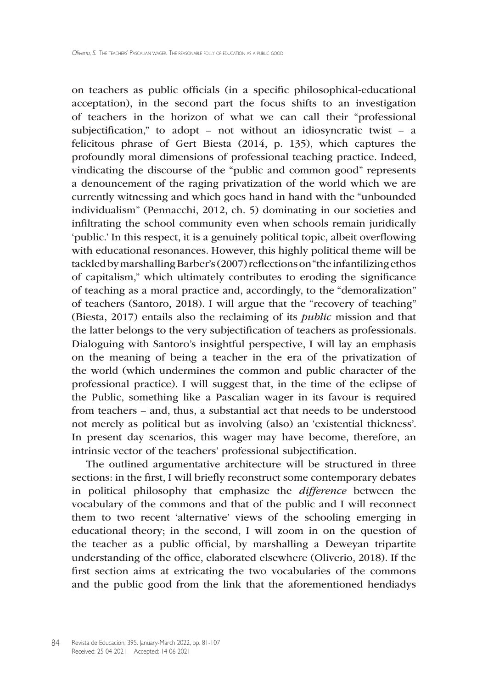on teachers as public officials (in a specific philosophical-educational acceptation), in the second part the focus shifts to an investigation of teachers in the horizon of what we can call their "professional subjectification," to adopt – not without an idiosyncratic twist – a felicitous phrase of Gert Biesta (2014, p. 135), which captures the profoundly moral dimensions of professional teaching practice. Indeed, vindicating the discourse of the "public and common good" represents a denouncement of the raging privatization of the world which we are currently witnessing and which goes hand in hand with the "unbounded individualism" (Pennacchi, 2012, ch. 5) dominating in our societies and infiltrating the school community even when schools remain juridically 'public.' In this respect, it is a genuinely political topic, albeit overflowing with educational resonances. However, this highly political theme will be tackled by marshalling Barber's (2007) reflections on "the infantilizing ethos of capitalism," which ultimately contributes to eroding the significance of teaching as a moral practice and, accordingly, to the "demoralization" of teachers (Santoro, 2018). I will argue that the "recovery of teaching" (Biesta, 2017) entails also the reclaiming of its *public* mission and that the latter belongs to the very subjectification of teachers as professionals. Dialoguing with Santoro's insightful perspective, I will lay an emphasis on the meaning of being a teacher in the era of the privatization of the world (which undermines the common and public character of the professional practice). I will suggest that, in the time of the eclipse of the Public, something like a Pascalian wager in its favour is required from teachers – and, thus, a substantial act that needs to be understood not merely as political but as involving (also) an 'existential thickness'. In present day scenarios, this wager may have become, therefore, an intrinsic vector of the teachers' professional subjectification.

The outlined argumentative architecture will be structured in three sections: in the first, I will briefly reconstruct some contemporary debates in political philosophy that emphasize the *difference* between the vocabulary of the commons and that of the public and I will reconnect them to two recent 'alternative' views of the schooling emerging in educational theory; in the second, I will zoom in on the question of the teacher as a public official, by marshalling a Deweyan tripartite understanding of the office, elaborated elsewhere (Oliverio, 2018). If the first section aims at extricating the two vocabularies of the commons and the public good from the link that the aforementioned hendiadys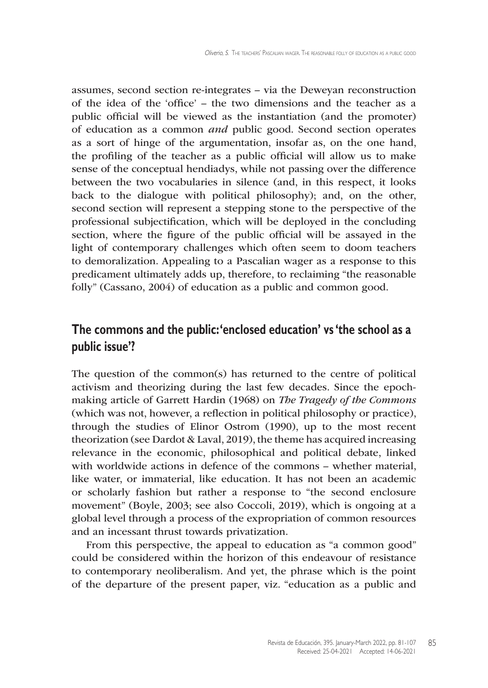assumes, second section re-integrates – via the Deweyan reconstruction of the idea of the 'office' – the two dimensions and the teacher as a public official will be viewed as the instantiation (and the promoter) of education as a common *and* public good. Second section operates as a sort of hinge of the argumentation, insofar as, on the one hand, the profiling of the teacher as a public official will allow us to make sense of the conceptual hendiadys, while not passing over the difference between the two vocabularies in silence (and, in this respect, it looks back to the dialogue with political philosophy); and, on the other, second section will represent a stepping stone to the perspective of the professional subjectification, which will be deployed in the concluding section, where the figure of the public official will be assayed in the light of contemporary challenges which often seem to doom teachers to demoralization. Appealing to a Pascalian wager as a response to this predicament ultimately adds up, therefore, to reclaiming "the reasonable folly" (Cassano, 2004) of education as a public and common good.

## **The commons and the public: 'enclosed education' vs 'the school as a public issue'?**

The question of the common(s) has returned to the centre of political activism and theorizing during the last few decades. Since the epochmaking article of Garrett Hardin (1968) on *The Tragedy of the Commons* (which was not, however, a reflection in political philosophy or practice), through the studies of Elinor Ostrom (1990), up to the most recent theorization (see Dardot & Laval, 2019), the theme has acquired increasing relevance in the economic, philosophical and political debate, linked with worldwide actions in defence of the commons – whether material, like water, or immaterial, like education. It has not been an academic or scholarly fashion but rather a response to "the second enclosure movement" (Boyle, 2003; see also Coccoli, 2019), which is ongoing at a global level through a process of the expropriation of common resources and an incessant thrust towards privatization.

From this perspective, the appeal to education as "a common good" could be considered within the horizon of this endeavour of resistance to contemporary neoliberalism. And yet, the phrase which is the point of the departure of the present paper, viz. "education as a public and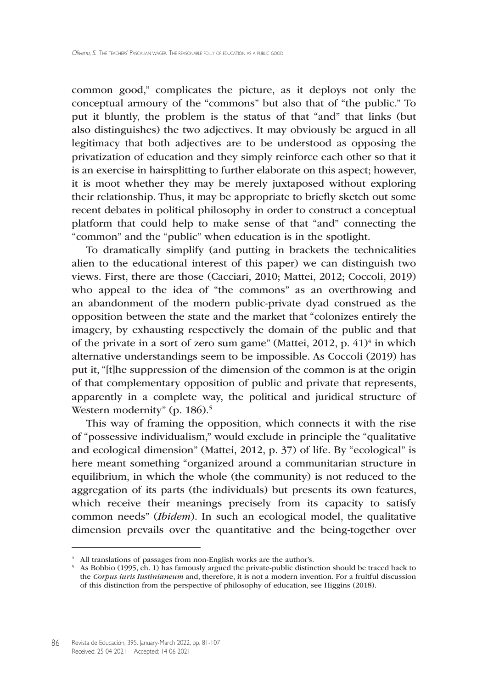common good," complicates the picture, as it deploys not only the conceptual armoury of the "commons" but also that of "the public." To put it bluntly, the problem is the status of that "and" that links (but also distinguishes) the two adjectives. It may obviously be argued in all legitimacy that both adjectives are to be understood as opposing the privatization of education and they simply reinforce each other so that it is an exercise in hairsplitting to further elaborate on this aspect; however, it is moot whether they may be merely juxtaposed without exploring their relationship. Thus, it may be appropriate to briefly sketch out some recent debates in political philosophy in order to construct a conceptual platform that could help to make sense of that "and" connecting the "common" and the "public" when education is in the spotlight.

To dramatically simplify (and putting in brackets the technicalities alien to the educational interest of this paper) we can distinguish two views. First, there are those (Cacciari, 2010; Mattei, 2012; Coccoli, 2019) who appeal to the idea of "the commons" as an overthrowing and an abandonment of the modern public-private dyad construed as the opposition between the state and the market that "colonizes entirely the imagery, by exhausting respectively the domain of the public and that of the private in a sort of zero sum game" (Mattei, 2012, p.  $41$ )<sup>4</sup> in which alternative understandings seem to be impossible. As Coccoli (2019) has put it, "[t]he suppression of the dimension of the common is at the origin of that complementary opposition of public and private that represents, apparently in a complete way, the political and juridical structure of Western modernity" (p. 186).<sup>5</sup>

This way of framing the opposition, which connects it with the rise of "possessive individualism," would exclude in principle the "qualitative and ecological dimension" (Mattei, 2012, p. 37) of life. By "ecological" is here meant something "organized around a communitarian structure in equilibrium, in which the whole (the community) is not reduced to the aggregation of its parts (the individuals) but presents its own features, which receive their meanings precisely from its capacity to satisfy common needs" (*Ibidem*). In such an ecological model, the qualitative dimension prevails over the quantitative and the being-together over

<sup>&</sup>lt;sup>4</sup> All translations of passages from non-English works are the author's.

<sup>5</sup> As Bobbio (1995, ch. 1) has famously argued the private-public distinction should be traced back to the *Corpus iuris Iustinianeum* and, therefore, it is not a modern invention. For a fruitful discussion of this distinction from the perspective of philosophy of education, see Higgins (2018).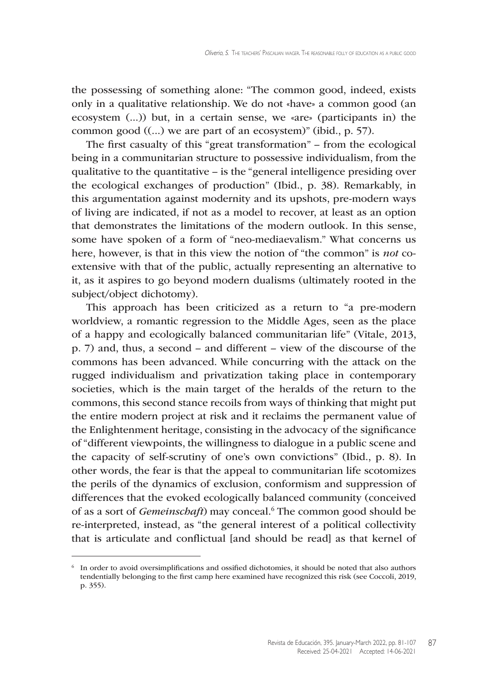the possessing of something alone: "The common good, indeed, exists only in a qualitative relationship. We do not «have» a common good (an ecosystem (...)) but, in a certain sense, we «are» (participants in) the common good ((...) we are part of an ecosystem)" (ibid., p. 57).

The first casualty of this "great transformation" – from the ecological being in a communitarian structure to possessive individualism, from the qualitative to the quantitative – is the "general intelligence presiding over the ecological exchanges of production" (Ibid., p. 38). Remarkably, in this argumentation against modernity and its upshots, pre-modern ways of living are indicated, if not as a model to recover, at least as an option that demonstrates the limitations of the modern outlook. In this sense, some have spoken of a form of "neo-mediaevalism." What concerns us here, however, is that in this view the notion of "the common" is *not* coextensive with that of the public, actually representing an alternative to it, as it aspires to go beyond modern dualisms (ultimately rooted in the subject/object dichotomy).

This approach has been criticized as a return to "a pre-modern worldview, a romantic regression to the Middle Ages, seen as the place of a happy and ecologically balanced communitarian life" (Vitale, 2013, p. 7) and, thus, a second – and different – view of the discourse of the commons has been advanced. While concurring with the attack on the rugged individualism and privatization taking place in contemporary societies, which is the main target of the heralds of the return to the commons, this second stance recoils from ways of thinking that might put the entire modern project at risk and it reclaims the permanent value of the Enlightenment heritage, consisting in the advocacy of the significance of "different viewpoints, the willingness to dialogue in a public scene and the capacity of self-scrutiny of one's own convictions" (Ibid., p. 8). In other words, the fear is that the appeal to communitarian life scotomizes the perils of the dynamics of exclusion, conformism and suppression of differences that the evoked ecologically balanced community (conceived of as a sort of *Gemeinschaft*) may conceal.<sup>6</sup> The common good should be re-interpreted, instead, as "the general interest of a political collectivity that is articulate and conflictual [and should be read] as that kernel of

<sup>6</sup> In order to avoid oversimplifications and ossified dichotomies, it should be noted that also authors tendentially belonging to the first camp here examined have recognized this risk (see Coccoli, 2019, p. 355).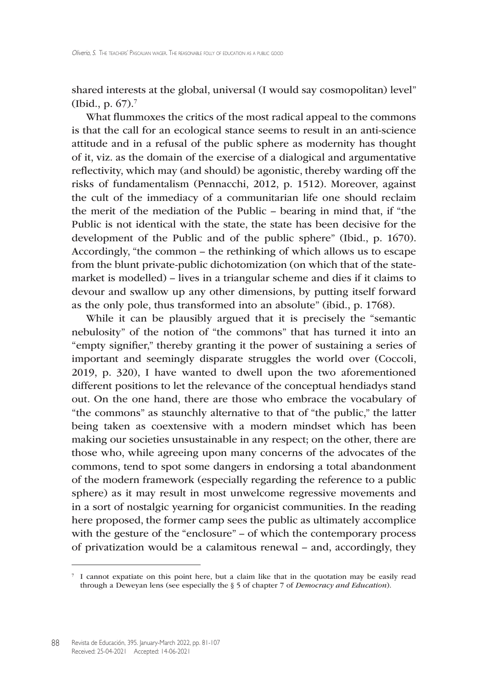shared interests at the global, universal (I would say cosmopolitan) level" (Ibid., p. 67).7

What flummoxes the critics of the most radical appeal to the commons is that the call for an ecological stance seems to result in an anti-science attitude and in a refusal of the public sphere as modernity has thought of it, viz. as the domain of the exercise of a dialogical and argumentative reflectivity, which may (and should) be agonistic, thereby warding off the risks of fundamentalism (Pennacchi, 2012, p. 1512). Moreover, against the cult of the immediacy of a communitarian life one should reclaim the merit of the mediation of the Public – bearing in mind that, if "the Public is not identical with the state, the state has been decisive for the development of the Public and of the public sphere" (Ibid., p. 1670). Accordingly, "the common – the rethinking of which allows us to escape from the blunt private-public dichotomization (on which that of the statemarket is modelled) – lives in a triangular scheme and dies if it claims to devour and swallow up any other dimensions, by putting itself forward as the only pole, thus transformed into an absolute" (ibid., p. 1768).

While it can be plausibly argued that it is precisely the "semantic nebulosity" of the notion of "the commons" that has turned it into an "empty signifier," thereby granting it the power of sustaining a series of important and seemingly disparate struggles the world over (Coccoli, 2019, p. 320), I have wanted to dwell upon the two aforementioned different positions to let the relevance of the conceptual hendiadys stand out. On the one hand, there are those who embrace the vocabulary of "the commons" as staunchly alternative to that of "the public," the latter being taken as coextensive with a modern mindset which has been making our societies unsustainable in any respect; on the other, there are those who, while agreeing upon many concerns of the advocates of the commons, tend to spot some dangers in endorsing a total abandonment of the modern framework (especially regarding the reference to a public sphere) as it may result in most unwelcome regressive movements and in a sort of nostalgic yearning for organicist communities. In the reading here proposed, the former camp sees the public as ultimately accomplice with the gesture of the "enclosure" – of which the contemporary process of privatization would be a calamitous renewal – and, accordingly, they

<sup>7</sup> I cannot expatiate on this point here, but a claim like that in the quotation may be easily read through a Deweyan lens (see especially the § 5 of chapter 7 of *Democracy and Education*).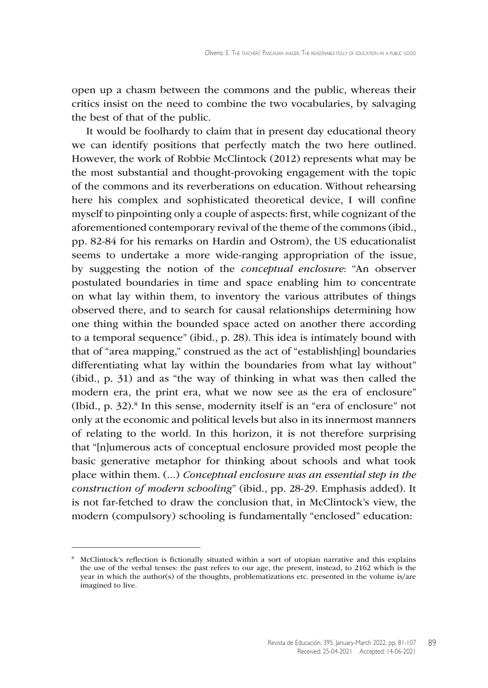open up a chasm between the commons and the public, whereas their critics insist on the need to combine the two vocabularies, by salvaging the best of that of the public.

It would be foolhardy to claim that in present day educational theory we can identify positions that perfectly match the two here outlined. However, the work of Robbie McClintock (2012) represents what may be the most substantial and thought-provoking engagement with the topic of the commons and its reverberations on education. Without rehearsing here his complex and sophisticated theoretical device, I will confine myself to pinpointing only a couple of aspects: first, while cognizant of the aforementioned contemporary revival of the theme of the commons (ibid., pp. 82-84 for his remarks on Hardin and Ostrom), the US educationalist seems to undertake a more wide-ranging appropriation of the issue, by suggesting the notion of the *conceptual enclosure*: "An observer postulated boundaries in time and space enabling him to concentrate on what lay within them, to inventory the various attributes of things observed there, and to search for causal relationships determining how one thing within the bounded space acted on another there according to a temporal sequence" (ibid., p. 28). This idea is intimately bound with that of "area mapping," construed as the act of "establish[ing] boundaries differentiating what lay within the boundaries from what lay without" (ibid., p. 31) and as "the way of thinking in what was then called the modern era, the print era, what we now see as the era of enclosure" (Ibid.,  $p. 32$ ).<sup>8</sup> In this sense, modernity itself is an "era of enclosure" not only at the economic and political levels but also in its innermost manners of relating to the world. In this horizon, it is not therefore surprising that "[n]umerous acts of conceptual enclosure provided most people the basic generative metaphor for thinking about schools and what took place within them. (...) *Conceptual enclosure was an essential step in the construction of modern schooling*" (ibid., pp. 28-29. Emphasis added). It is not far-fetched to draw the conclusion that, in McClintock's view, the modern (compulsory) schooling is fundamentally "enclosed" education:

<sup>8</sup> McClintock's reflection is fictionally situated within a sort of utopian narrative and this explains the use of the verbal tenses: the past refers to our age, the present, instead, to 2162 which is the year in which the author(s) of the thoughts, problematizations etc. presented in the volume is/are imagined to live.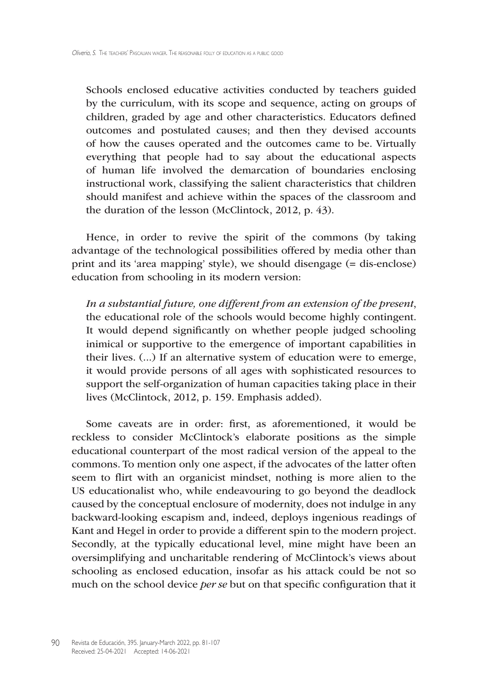Schools enclosed educative activities conducted by teachers guided by the curriculum, with its scope and sequence, acting on groups of children, graded by age and other characteristics. Educators defined outcomes and postulated causes; and then they devised accounts of how the causes operated and the outcomes came to be. Virtually everything that people had to say about the educational aspects of human life involved the demarcation of boundaries enclosing instructional work, classifying the salient characteristics that children should manifest and achieve within the spaces of the classroom and the duration of the lesson (McClintock, 2012, p. 43).

Hence, in order to revive the spirit of the commons (by taking advantage of the technological possibilities offered by media other than print and its 'area mapping' style), we should disengage (= dis-enclose) education from schooling in its modern version:

*In a substantial future, one different from an extension of the present*, the educational role of the schools would become highly contingent. It would depend significantly on whether people judged schooling inimical or supportive to the emergence of important capabilities in their lives. (...) If an alternative system of education were to emerge, it would provide persons of all ages with sophisticated resources to support the self-organization of human capacities taking place in their lives (McClintock, 2012, p. 159. Emphasis added).

Some caveats are in order: first, as aforementioned, it would be reckless to consider McClintock's elaborate positions as the simple educational counterpart of the most radical version of the appeal to the commons. To mention only one aspect, if the advocates of the latter often seem to flirt with an organicist mindset, nothing is more alien to the US educationalist who, while endeavouring to go beyond the deadlock caused by the conceptual enclosure of modernity, does not indulge in any backward-looking escapism and, indeed, deploys ingenious readings of Kant and Hegel in order to provide a different spin to the modern project. Secondly, at the typically educational level, mine might have been an oversimplifying and uncharitable rendering of McClintock's views about schooling as enclosed education, insofar as his attack could be not so much on the school device *per se* but on that specific configuration that it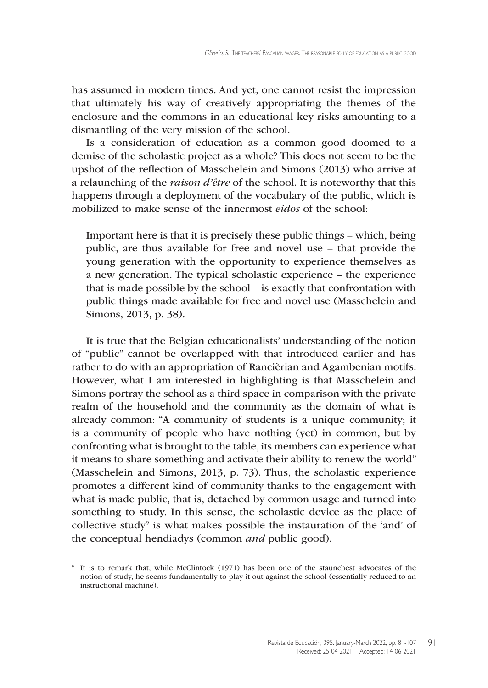has assumed in modern times. And yet, one cannot resist the impression that ultimately his way of creatively appropriating the themes of the enclosure and the commons in an educational key risks amounting to a dismantling of the very mission of the school.

Is a consideration of education as a common good doomed to a demise of the scholastic project as a whole? This does not seem to be the upshot of the reflection of Masschelein and Simons (2013) who arrive at a relaunching of the *raison d'être* of the school. It is noteworthy that this happens through a deployment of the vocabulary of the public, which is mobilized to make sense of the innermost *eidos* of the school:

Important here is that it is precisely these public things – which, being public, are thus available for free and novel use – that provide the young generation with the opportunity to experience themselves as a new generation. The typical scholastic experience – the experience that is made possible by the school – is exactly that confrontation with public things made available for free and novel use (Masschelein and Simons, 2013, p. 38).

It is true that the Belgian educationalists' understanding of the notion of "public" cannot be overlapped with that introduced earlier and has rather to do with an appropriation of Rancièrian and Agambenian motifs. However, what I am interested in highlighting is that Masschelein and Simons portray the school as a third space in comparison with the private realm of the household and the community as the domain of what is already common: "A community of students is a unique community; it is a community of people who have nothing (yet) in common, but by confronting what is brought to the table, its members can experience what it means to share something and activate their ability to renew the world" (Masschelein and Simons, 2013, p. 73). Thus, the scholastic experience promotes a different kind of community thanks to the engagement with what is made public, that is, detached by common usage and turned into something to study. In this sense, the scholastic device as the place of collective study<sup>9</sup> is what makes possible the instauration of the 'and' of the conceptual hendiadys (common *and* public good).

<sup>9</sup> It is to remark that, while McClintock (1971) has been one of the staunchest advocates of the notion of study, he seems fundamentally to play it out against the school (essentially reduced to an instructional machine).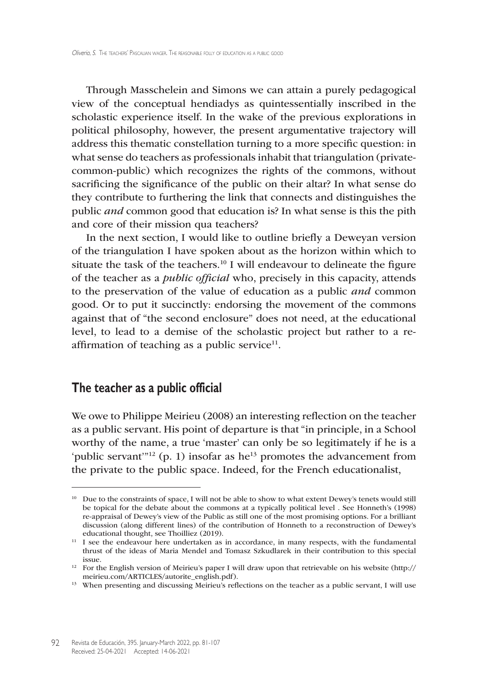Through Masschelein and Simons we can attain a purely pedagogical view of the conceptual hendiadys as quintessentially inscribed in the scholastic experience itself. In the wake of the previous explorations in political philosophy, however, the present argumentative trajectory will address this thematic constellation turning to a more specific question: in what sense do teachers as professionals inhabit that triangulation (privatecommon-public) which recognizes the rights of the commons, without sacrificing the significance of the public on their altar? In what sense do they contribute to furthering the link that connects and distinguishes the public *and* common good that education is? In what sense is this the pith and core of their mission qua teachers?

In the next section, I would like to outline briefly a Deweyan version of the triangulation I have spoken about as the horizon within which to situate the task of the teachers.<sup>10</sup> I will endeavour to delineate the figure of the teacher as a *public official* who, precisely in this capacity, attends to the preservation of the value of education as a public *and* common good. Or to put it succinctly: endorsing the movement of the commons against that of "the second enclosure" does not need, at the educational level, to lead to a demise of the scholastic project but rather to a reaffirmation of teaching as a public service $11$ .

## **The teacher as a public official**

We owe to Philippe Meirieu (2008) an interesting reflection on the teacher as a public servant. His point of departure is that "in principle, in a School worthy of the name, a true 'master' can only be so legitimately if he is a 'public servant'<sup>"12</sup> (p. 1) insofar as he<sup>13</sup> promotes the advancement from the private to the public space. Indeed, for the French educationalist,

<sup>&</sup>lt;sup>10</sup> Due to the constraints of space, I will not be able to show to what extent Dewey's tenets would still be topical for the debate about the commons at a typically political level . See Honneth's (1998) re-appraisal of Dewey's view of the Public as still one of the most promising options. For a brilliant discussion (along different lines) of the contribution of Honneth to a reconstruction of Dewey's educational thought, see Thoilliez (2019).

<sup>&</sup>lt;sup>11</sup> I see the endeavour here undertaken as in accordance, in many respects, with the fundamental thrust of the ideas of Maria Mendel and Tomasz Szkudlarek in their contribution to this special issue.

<sup>12</sup> For the English version of Meirieu's paper I will draw upon that retrievable on his website [\(http://](http://meirieu.com/ARTICLES/autorite_english.pdf) [meirieu.com/ARTICLES/autorite\\_english.pdf\)](http://meirieu.com/ARTICLES/autorite_english.pdf).

<sup>&</sup>lt;sup>13</sup> When presenting and discussing Meirieu's reflections on the teacher as a public servant, I will use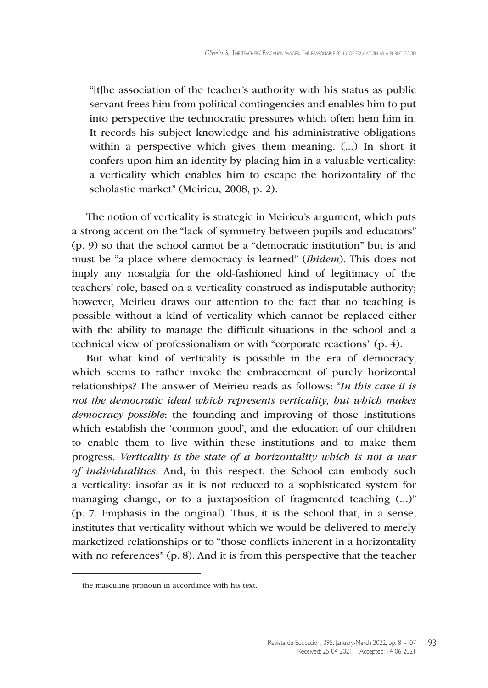"[t]he association of the teacher's authority with his status as public servant frees him from political contingencies and enables him to put into perspective the technocratic pressures which often hem him in. It records his subject knowledge and his administrative obligations within a perspective which gives them meaning. (...) In short it confers upon him an identity by placing him in a valuable verticality: a verticality which enables him to escape the horizontality of the scholastic market" (Meirieu, 2008, p. 2).

The notion of verticality is strategic in Meirieu's argument, which puts a strong accent on the "lack of symmetry between pupils and educators" (p. 9) so that the school cannot be a "democratic institution" but is and must be "a place where democracy is learned" (*Ibidem*). This does not imply any nostalgia for the old-fashioned kind of legitimacy of the teachers' role, based on a verticality construed as indisputable authority; however, Meirieu draws our attention to the fact that no teaching is possible without a kind of verticality which cannot be replaced either with the ability to manage the difficult situations in the school and a technical view of professionalism or with "corporate reactions" (p. 4).

But what kind of verticality is possible in the era of democracy, which seems to rather invoke the embracement of purely horizontal relationships? The answer of Meirieu reads as follows: "*In this case it is not the democratic ideal which represents verticality, but which makes democracy possible*: the founding and improving of those institutions which establish the 'common good', and the education of our children to enable them to live within these institutions and to make them progress. *Verticality is the state of a horizontality which is not a war of individualities*. And, in this respect, the School can embody such a verticality: insofar as it is not reduced to a sophisticated system for managing change, or to a juxtaposition of fragmented teaching  $(\ldots)$ " (p. 7. Emphasis in the original). Thus, it is the school that, in a sense, institutes that verticality without which we would be delivered to merely marketized relationships or to "those conflicts inherent in a horizontality with no references" (p. 8). And it is from this perspective that the teacher

the masculine pronoun in accordance with his text.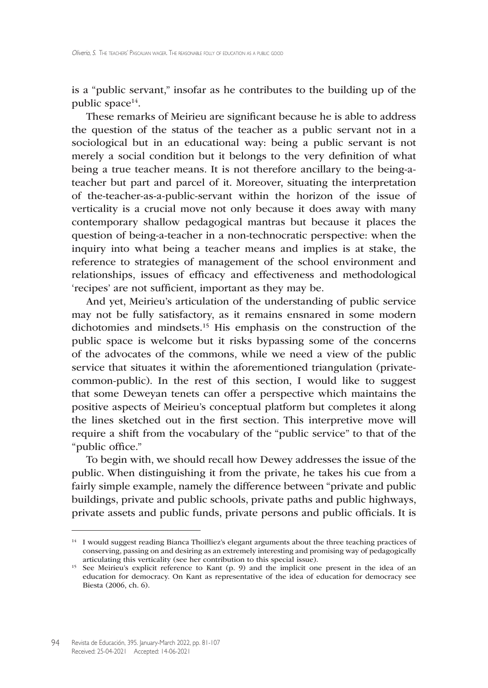is a "public servant," insofar as he contributes to the building up of the public space<sup>14</sup>.

These remarks of Meirieu are significant because he is able to address the question of the status of the teacher as a public servant not in a sociological but in an educational way: being a public servant is not merely a social condition but it belongs to the very definition of what being a true teacher means. It is not therefore ancillary to the being-ateacher but part and parcel of it. Moreover, situating the interpretation of the-teacher-as-a-public-servant within the horizon of the issue of verticality is a crucial move not only because it does away with many contemporary shallow pedagogical mantras but because it places the question of being-a-teacher in a non-technocratic perspective: when the inquiry into what being a teacher means and implies is at stake, the reference to strategies of management of the school environment and relationships, issues of efficacy and effectiveness and methodological 'recipes' are not sufficient, important as they may be.

And yet, Meirieu's articulation of the understanding of public service may not be fully satisfactory, as it remains ensnared in some modern dichotomies and mindsets.<sup>15</sup> His emphasis on the construction of the public space is welcome but it risks bypassing some of the concerns of the advocates of the commons, while we need a view of the public service that situates it within the aforementioned triangulation (privatecommon-public). In the rest of this section, I would like to suggest that some Deweyan tenets can offer a perspective which maintains the positive aspects of Meirieu's conceptual platform but completes it along the lines sketched out in the first section. This interpretive move will require a shift from the vocabulary of the "public service" to that of the "public office."

To begin with, we should recall how Dewey addresses the issue of the public. When distinguishing it from the private, he takes his cue from a fairly simple example, namely the difference between "private and public buildings, private and public schools, private paths and public highways, private assets and public funds, private persons and public officials. It is

<sup>&</sup>lt;sup>14</sup> I would suggest reading Bianca Thoilliez's elegant arguments about the three teaching practices of conserving, passing on and desiring as an extremely interesting and promising way of pedagogically articulating this verticality (see her contribution to this special issue).

<sup>&</sup>lt;sup>15</sup> See Meirieu's explicit reference to Kant (p. 9) and the implicit one present in the idea of an education for democracy. On Kant as representative of the idea of education for democracy see Biesta (2006, ch. 6).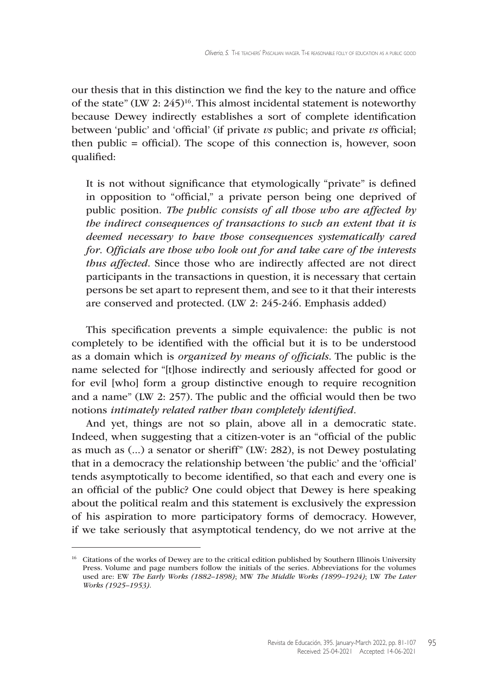our thesis that in this distinction we find the key to the nature and office of the state" (LW 2:  $245$ )<sup>16</sup>. This almost incidental statement is noteworthy because Dewey indirectly establishes a sort of complete identification between 'public' and 'official' (if private *vs* public; and private *vs* official; then public = official). The scope of this connection is, however, soon qualified:

It is not without significance that etymologically "private" is defined in opposition to "official," a private person being one deprived of public position. *The public consists of all those who are affected by the indirect consequences of transactions to such an extent that it is deemed necessary to have those consequences systematically cared for*. *Officials are those who look out for and take care of the interests thus affected*. Since those who are indirectly affected are not direct participants in the transactions in question, it is necessary that certain persons be set apart to represent them, and see to it that their interests are conserved and protected. (LW 2: 245-246. Emphasis added)

This specification prevents a simple equivalence: the public is not completely to be identified with the official but it is to be understood as a domain which is *organized by means of officials*. The public is the name selected for "[t]hose indirectly and seriously affected for good or for evil [who] form a group distinctive enough to require recognition and a name" (LW 2: 257). The public and the official would then be two notions *intimately related rather than completely identified*.

And yet, things are not so plain, above all in a democratic state. Indeed, when suggesting that a citizen-voter is an "official of the public as much as (...) a senator or sheriff" (LW: 282), is not Dewey postulating that in a democracy the relationship between 'the public' and the 'official' tends asymptotically to become identified, so that each and every one is an official of the public? One could object that Dewey is here speaking about the political realm and this statement is exclusively the expression of his aspiration to more participatory forms of democracy. However, if we take seriously that asymptotical tendency, do we not arrive at the

<sup>&</sup>lt;sup>16</sup> Citations of the works of Dewey are to the critical edition published by Southern Illinois University Press. Volume and page numbers follow the initials of the series. Abbreviations for the volumes used are: EW *The Early Works (1882–1898)*; MW *The Middle Works (1899–1924)*; LW *The Later Works (1925–1953)*.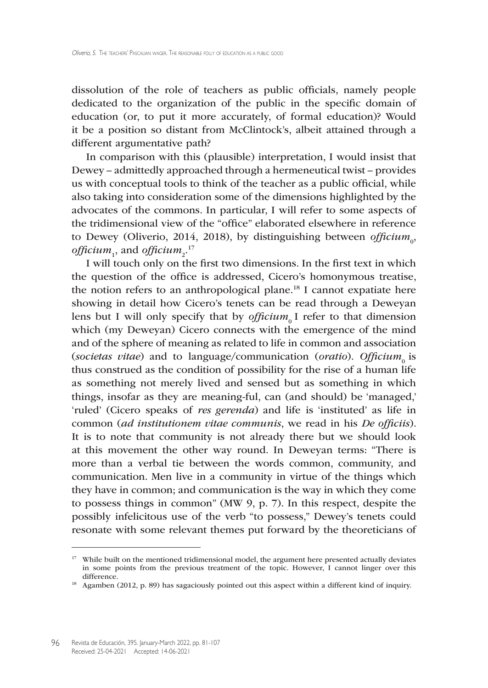dissolution of the role of teachers as public officials, namely people dedicated to the organization of the public in the specific domain of education (or, to put it more accurately, of formal education)? Would it be a position so distant from McClintock's, albeit attained through a different argumentative path?

In comparison with this (plausible) interpretation, I would insist that Dewey – admittedly approached through a hermeneutical twist – provides us with conceptual tools to think of the teacher as a public official, while also taking into consideration some of the dimensions highlighted by the advocates of the commons. In particular, I will refer to some aspects of the tridimensional view of the "office" elaborated elsewhere in reference to Dewey (Oliverio, 2014, 2018), by distinguishing between *officium*<sub>0</sub>, officium $\frac{1}{1}$ , and officium $\frac{1}{2}$ .<sup>17</sup>

I will touch only on the first two dimensions. In the first text in which the question of the office is addressed, Cicero's homonymous treatise, the notion refers to an anthropological plane.<sup>18</sup> I cannot expatiate here showing in detail how Cicero's tenets can be read through a Deweyan lens but I will only specify that by *officium*<sub>0</sub> I refer to that dimension which (my Deweyan) Cicero connects with the emergence of the mind and of the sphere of meaning as related to life in common and association (*societas vitae*) and to language/communication (*oratio*). *Officium*<sub>0</sub> is thus construed as the condition of possibility for the rise of a human life as something not merely lived and sensed but as something in which things, insofar as they are meaning-ful, can (and should) be 'managed,' 'ruled' (Cicero speaks of *res gerenda*) and life is 'instituted' as life in common (*ad institutionem vitae communis*, we read in his *De officiis*). It is to note that community is not already there but we should look at this movement the other way round. In Deweyan terms: "There is more than a verbal tie between the words common, community, and communication. Men live in a community in virtue of the things which they have in common; and communication is the way in which they come to possess things in common" (MW 9, p. 7). In this respect, despite the possibly infelicitous use of the verb "to possess," Dewey's tenets could resonate with some relevant themes put forward by the theoreticians of

<sup>&</sup>lt;sup>17</sup> While built on the mentioned tridimensional model, the argument here presented actually deviates in some points from the previous treatment of the topic. However, I cannot linger over this difference.

<sup>&</sup>lt;sup>18</sup> Agamben (2012, p. 89) has sagaciously pointed out this aspect within a different kind of inquiry.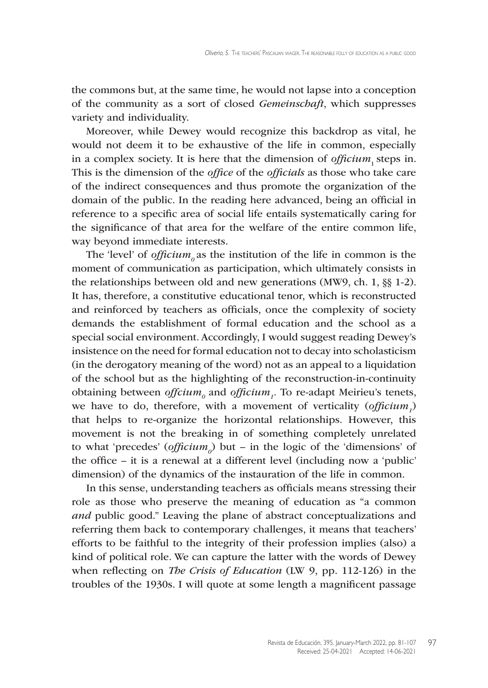the commons but, at the same time, he would not lapse into a conception of the community as a sort of closed *Gemeinschaft*, which suppresses variety and individuality.

Moreover, while Dewey would recognize this backdrop as vital, he would not deem it to be exhaustive of the life in common, especially in a complex society. It is here that the dimension of *officium*, steps in. This is the dimension of the *office* of the *officials* as those who take care of the indirect consequences and thus promote the organization of the domain of the public. In the reading here advanced, being an official in reference to a specific area of social life entails systematically caring for the significance of that area for the welfare of the entire common life, way beyond immediate interests.

The 'level' of  $offcium<sub>o</sub>$  as the institution of the life in common is the moment of communication as participation, which ultimately consists in the relationships between old and new generations (MW9, ch. 1, §§ 1-2). It has, therefore, a constitutive educational tenor, which is reconstructed and reinforced by teachers as officials, once the complexity of society demands the establishment of formal education and the school as a special social environment. Accordingly, I would suggest reading Dewey's insistence on the need for formal education not to decay into scholasticism (in the derogatory meaning of the word) not as an appeal to a liquidation of the school but as the highlighting of the reconstruction-in-continuity obtaining between *offcium<sub>0</sub>* and *officium<sub>1</sub>*. To re-adapt Meirieu's tenets, we have to do, therefore, with a movement of verticality (*officium*<sub>1</sub>) that helps to re-organize the horizontal relationships. However, this movement is not the breaking in of something completely unrelated to what 'precedes' (*officium<sup>0</sup>* ) but – in the logic of the 'dimensions' of the office – it is a renewal at a different level (including now a 'public' dimension) of the dynamics of the instauration of the life in common.

In this sense, understanding teachers as officials means stressing their role as those who preserve the meaning of education as "a common *and* public good." Leaving the plane of abstract conceptualizations and referring them back to contemporary challenges, it means that teachers' efforts to be faithful to the integrity of their profession implies (also) a kind of political role. We can capture the latter with the words of Dewey when reflecting on *The Crisis of Education* (LW 9, pp. 112-126) in the troubles of the 1930s. I will quote at some length a magnificent passage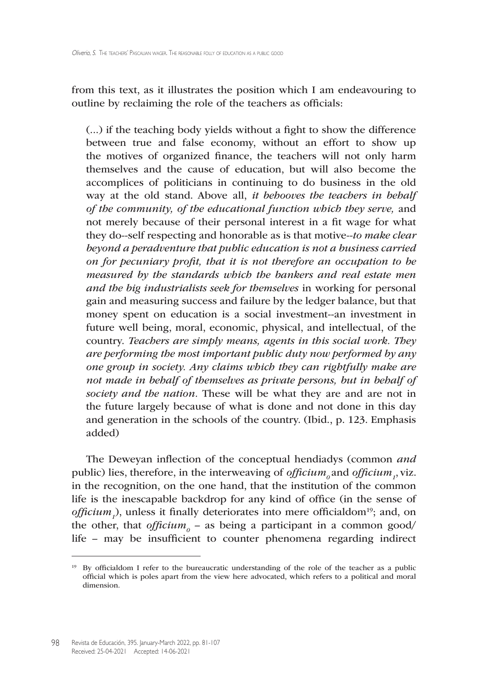from this text, as it illustrates the position which I am endeavouring to outline by reclaiming the role of the teachers as officials:

(...) if the teaching body yields without a fight to show the difference between true and false economy, without an effort to show up the motives of organized finance, the teachers will not only harm themselves and the cause of education, but will also become the accomplices of politicians in continuing to do business in the old way at the old stand. Above all, *it behooves the teachers in behalf of the community, of the educational function which they serve,* and not merely because of their personal interest in a fit wage for what they do--self respecting and honorable as is that motive--*to make clear beyond a peradventure that public education is not a business carried on for pecuniary profit, that it is not therefore an occupation to be measured by the standards which the bankers and real estate men and the big industrialists seek for themselves* in working for personal gain and measuring success and failure by the ledger balance, but that money spent on education is a social investment--an investment in future well being, moral, economic, physical, and intellectual, of the country. *Teachers are simply means, agents in this social work. They are performing the most important public duty now performed by any one group in society. Any claims which they can rightfully make are not made in behalf of themselves as private persons, but in behalf of society and the nation.* These will be what they are and are not in the future largely because of what is done and not done in this day and generation in the schools of the country. (Ibid., p. 123. Emphasis added)

The Deweyan inflection of the conceptual hendiadys (common *and*  public) lies, therefore, in the interweaving of *officium*<sub>*0*</sub> and *officium*<sub>1</sub>, viz. in the recognition, on the one hand, that the institution of the common life is the inescapable backdrop for any kind of office (in the sense of *officium<sub>1</sub>*), unless it finally deteriorates into mere officialdom<sup>19</sup>; and, on the other, that *officium*<sub>0</sub> – as being a participant in a common good/ life – may be insufficient to counter phenomena regarding indirect

<sup>&</sup>lt;sup>19</sup> By officialdom I refer to the bureaucratic understanding of the role of the teacher as a public official which is poles apart from the view here advocated, which refers to a political and moral dimension.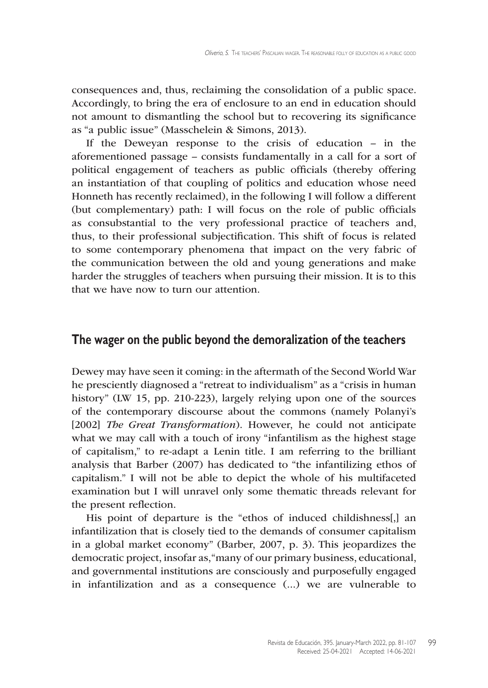consequences and, thus, reclaiming the consolidation of a public space. Accordingly, to bring the era of enclosure to an end in education should not amount to dismantling the school but to recovering its significance as "a public issue" (Masschelein & Simons, 2013).

If the Deweyan response to the crisis of education – in the aforementioned passage – consists fundamentally in a call for a sort of political engagement of teachers as public officials (thereby offering an instantiation of that coupling of politics and education whose need Honneth has recently reclaimed), in the following I will follow a different (but complementary) path: I will focus on the role of public officials as consubstantial to the very professional practice of teachers and, thus, to their professional subjectification. This shift of focus is related to some contemporary phenomena that impact on the very fabric of the communication between the old and young generations and make harder the struggles of teachers when pursuing their mission. It is to this that we have now to turn our attention.

#### **The wager on the public beyond the demoralization of the teachers**

Dewey may have seen it coming: in the aftermath of the Second World War he presciently diagnosed a "retreat to individualism" as a "crisis in human history" (LW 15, pp. 210-223), largely relying upon one of the sources of the contemporary discourse about the commons (namely Polanyi's [2002] *The Great Transformation*). However, he could not anticipate what we may call with a touch of irony "infantilism as the highest stage of capitalism," to re-adapt a Lenin title. I am referring to the brilliant analysis that Barber (2007) has dedicated to "the infantilizing ethos of capitalism." I will not be able to depict the whole of his multifaceted examination but I will unravel only some thematic threads relevant for the present reflection.

His point of departure is the "ethos of induced childishness[,] an infantilization that is closely tied to the demands of consumer capitalism in a global market economy" (Barber, 2007, p. 3). This jeopardizes the democratic project, insofar as,"many of our primary business, educational, and governmental institutions are consciously and purposefully engaged in infantilization and as a consequence (...) we are vulnerable to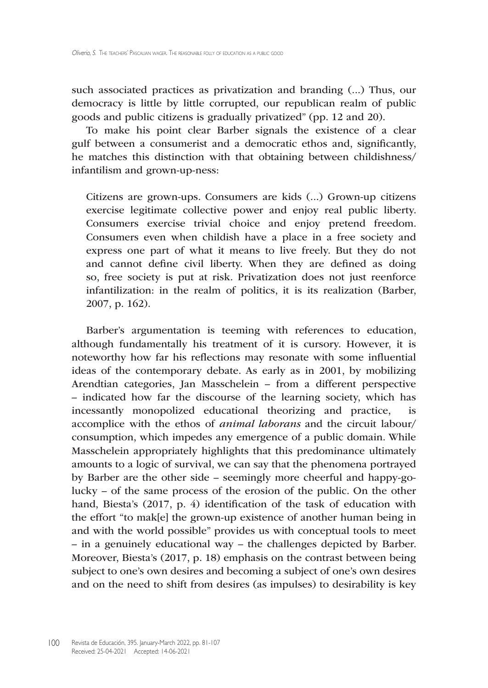such associated practices as privatization and branding (...) Thus, our democracy is little by little corrupted, our republican realm of public goods and public citizens is gradually privatized" (pp. 12 and 20).

To make his point clear Barber signals the existence of a clear gulf between a consumerist and a democratic ethos and, significantly, he matches this distinction with that obtaining between childishness/ infantilism and grown-up-ness:

Citizens are grown-ups. Consumers are kids (...) Grown-up citizens exercise legitimate collective power and enjoy real public liberty. Consumers exercise trivial choice and enjoy pretend freedom. Consumers even when childish have a place in a free society and express one part of what it means to live freely. But they do not and cannot define civil liberty. When they are defined as doing so, free society is put at risk. Privatization does not just reenforce infantilization: in the realm of politics, it is its realization (Barber, 2007, p. 162).

Barber's argumentation is teeming with references to education, although fundamentally his treatment of it is cursory. However, it is noteworthy how far his reflections may resonate with some influential ideas of the contemporary debate. As early as in 2001, by mobilizing Arendtian categories, Jan Masschelein – from a different perspective – indicated how far the discourse of the learning society, which has incessantly monopolized educational theorizing and practice, accomplice with the ethos of *animal laborans* and the circuit labour/ consumption, which impedes any emergence of a public domain. While Masschelein appropriately highlights that this predominance ultimately amounts to a logic of survival, we can say that the phenomena portrayed by Barber are the other side – seemingly more cheerful and happy-golucky – of the same process of the erosion of the public. On the other hand, Biesta's (2017, p. 4) identification of the task of education with the effort "to mak[e] the grown-up existence of another human being in and with the world possible" provides us with conceptual tools to meet – in a genuinely educational way – the challenges depicted by Barber. Moreover, Biesta's (2017, p. 18) emphasis on the contrast between being subject to one's own desires and becoming a subject of one's own desires and on the need to shift from desires (as impulses) to desirability is key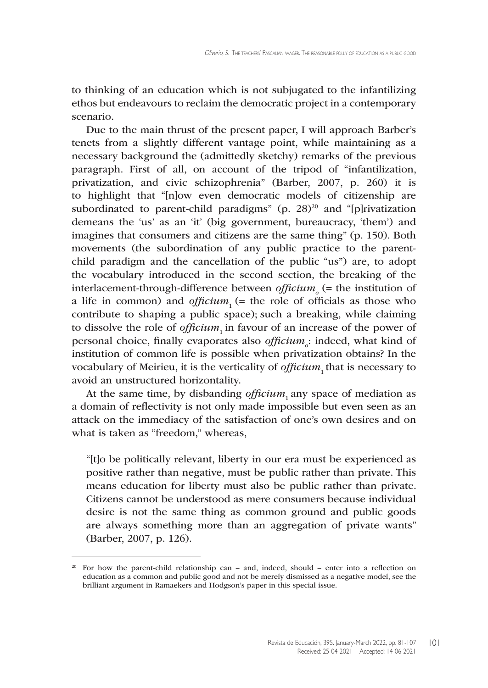to thinking of an education which is not subjugated to the infantilizing ethos but endeavours to reclaim the democratic project in a contemporary scenario.

Due to the main thrust of the present paper, I will approach Barber's tenets from a slightly different vantage point, while maintaining as a necessary background the (admittedly sketchy) remarks of the previous paragraph. First of all, on account of the tripod of "infantilization, privatization, and civic schizophrenia" (Barber, 2007, p. 260) it is to highlight that "[n]ow even democratic models of citizenship are subordinated to parent-child paradigms" (p.  $28^{20}$  and "[p]rivatization demeans the 'us' as an 'it' (big government, bureaucracy, 'them') and imagines that consumers and citizens are the same thing" (p. 150). Both movements (the subordination of any public practice to the parentchild paradigm and the cancellation of the public "us") are, to adopt the vocabulary introduced in the second section, the breaking of the interlacement-through-difference between *officium* (= the institution of a life in common) and *officium*<sub>1</sub> (= the role of officials as those who contribute to shaping a public space); such a breaking, while claiming to dissolve the role of *officium*, in favour of an increase of the power of personal choice, finally evaporates also *officium*<sub>o</sub>: indeed, what kind of institution of common life is possible when privatization obtains? In the vocabulary of Meirieu, it is the verticality of *officium*<sub>1</sub> that is necessary to avoid an unstructured horizontality.

At the same time, by disbanding *officium*, any space of mediation as a domain of reflectivity is not only made impossible but even seen as an attack on the immediacy of the satisfaction of one's own desires and on what is taken as "freedom," whereas,

"[t]o be politically relevant, liberty in our era must be experienced as positive rather than negative, must be public rather than private. This means education for liberty must also be public rather than private. Citizens cannot be understood as mere consumers because individual desire is not the same thing as common ground and public goods are always something more than an aggregation of private wants" (Barber, 2007, p. 126).

<sup>&</sup>lt;sup>20</sup> For how the parent-child relationship can – and, indeed, should – enter into a reflection on education as a common and public good and not be merely dismissed as a negative model, see the brilliant argument in Ramaekers and Hodgson's paper in this special issue.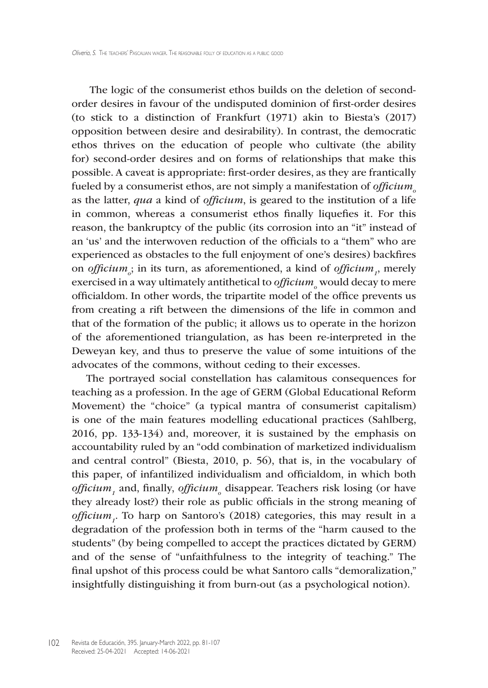The logic of the consumerist ethos builds on the deletion of secondorder desires in favour of the undisputed dominion of first-order desires (to stick to a distinction of Frankfurt (1971) akin to Biesta's (2017) opposition between desire and desirability). In contrast, the democratic ethos thrives on the education of people who cultivate (the ability for) second-order desires and on forms of relationships that make this possible. A caveat is appropriate: first-order desires, as they are frantically fueled by a consumerist ethos, are not simply a manifestation of *officium*<sub>o</sub> as the latter, *qua* a kind of *officium*, is geared to the institution of a life in common, whereas a consumerist ethos finally liquefies it. For this reason, the bankruptcy of the public (its corrosion into an "it" instead of an 'us' and the interwoven reduction of the officials to a "them" who are experienced as obstacles to the full enjoyment of one's desires) backfires on *officium*<sub>*i*</sub>; in its turn, as aforementioned, a kind of *officium*<sub>1</sub>, merely exercised in a way ultimately antithetical to *officium*<sub>o</sub> would decay to mere officialdom. In other words, the tripartite model of the office prevents us from creating a rift between the dimensions of the life in common and that of the formation of the public; it allows us to operate in the horizon of the aforementioned triangulation, as has been re-interpreted in the Deweyan key, and thus to preserve the value of some intuitions of the advocates of the commons, without ceding to their excesses.

The portrayed social constellation has calamitous consequences for teaching as a profession. In the age of GERM (Global Educational Reform Movement) the "choice" (a typical mantra of consumerist capitalism) is one of the main features modelling educational practices (Sahlberg, 2016, pp. 133-134) and, moreover, it is sustained by the emphasis on accountability ruled by an "odd combination of marketized individualism and central control" (Biesta, 2010, p. 56), that is, in the vocabulary of this paper, of infantilized individualism and officialdom, in which both *officium<sup>1</sup>* and, finally, *officium<sup>o</sup>* disappear. Teachers risk losing (or have they already lost?) their role as public officials in the strong meaning of *officium<sup>1</sup>* . To harp on Santoro's (2018) categories, this may result in a degradation of the profession both in terms of the "harm caused to the students" (by being compelled to accept the practices dictated by GERM) and of the sense of "unfaithfulness to the integrity of teaching." The final upshot of this process could be what Santoro calls "demoralization," insightfully distinguishing it from burn-out (as a psychological notion).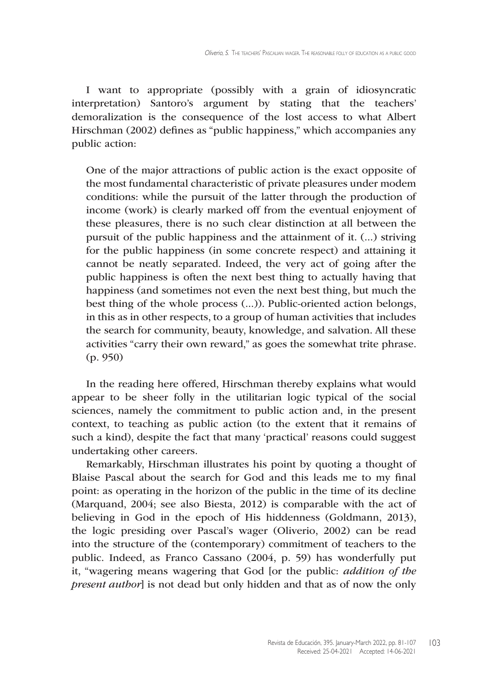I want to appropriate (possibly with a grain of idiosyncratic interpretation) Santoro's argument by stating that the teachers' demoralization is the consequence of the lost access to what Albert Hirschman (2002) defines as "public happiness," which accompanies any public action:

One of the major attractions of public action is the exact opposite of the most fundamental characteristic of private pleasures under modem conditions: while the pursuit of the latter through the production of income (work) is clearly marked off from the eventual enjoyment of these pleasures, there is no such clear distinction at all between the pursuit of the public happiness and the attainment of it. (...) striving for the public happiness (in some concrete respect) and attaining it cannot be neatly separated. Indeed, the very act of going after the public happiness is often the next best thing to actually having that happiness (and sometimes not even the next best thing, but much the best thing of the whole process (...)). Public-oriented action belongs, in this as in other respects, to a group of human activities that includes the search for community, beauty, knowledge, and salvation. All these activities "carry their own reward," as goes the somewhat trite phrase. (p. 950)

In the reading here offered, Hirschman thereby explains what would appear to be sheer folly in the utilitarian logic typical of the social sciences, namely the commitment to public action and, in the present context, to teaching as public action (to the extent that it remains of such a kind), despite the fact that many 'practical' reasons could suggest undertaking other careers.

Remarkably, Hirschman illustrates his point by quoting a thought of Blaise Pascal about the search for God and this leads me to my final point: as operating in the horizon of the public in the time of its decline (Marquand, 2004; see also Biesta, 2012) is comparable with the act of believing in God in the epoch of His hiddenness (Goldmann, 2013), the logic presiding over Pascal's wager (Oliverio, 2002) can be read into the structure of the (contemporary) commitment of teachers to the public. Indeed, as Franco Cassano (2004, p. 59) has wonderfully put it, "wagering means wagering that God [or the public: *addition of the present author*] is not dead but only hidden and that as of now the only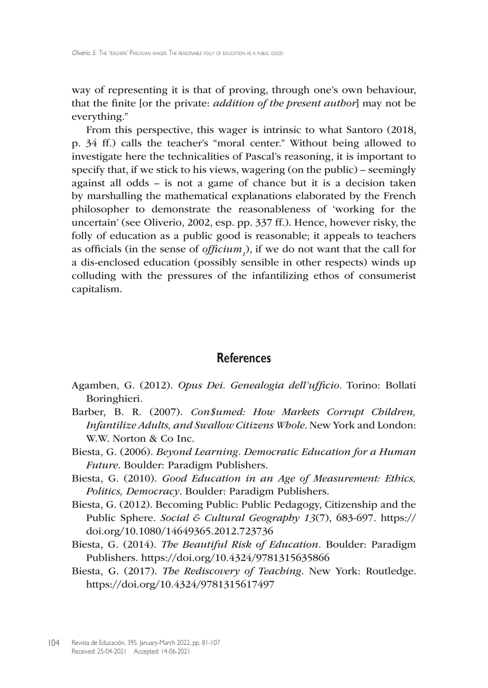way of representing it is that of proving, through one's own behaviour, that the finite [or the private: *addition of the present author*] may not be everything."

From this perspective, this wager is intrinsic to what Santoro (2018, p. 34 ff.) calls the teacher's "moral center." Without being allowed to investigate here the technicalities of Pascal's reasoning, it is important to specify that, if we stick to his views, wagering (on the public) – seemingly against all odds – is not a game of chance but it is a decision taken by marshalling the mathematical explanations elaborated by the French philosopher to demonstrate the reasonableness of 'working for the uncertain' (see Oliverio, 2002, esp. pp. 337 ff.). Hence, however risky, the folly of education as a public good is reasonable; it appeals to teachers as officials (in the sense of *officium<sup>1</sup>* ), if we do not want that the call for a dis-enclosed education (possibly sensible in other respects) winds up colluding with the pressures of the infantilizing ethos of consumerist capitalism.

### **References**

- Agamben, G. (2012). *Opus Dei. Genealogia dell'ufficio*. Torino: Bollati Boringhieri.
- Barber, B. R. (2007). *Con\$umed: How Markets Corrupt Children, Infantilize Adults, and Swallow Citizens Whole*. New York and London: W.W. Norton & Co Inc.
- Biesta, G. (2006). *Beyond Learning. Democratic Education for a Human Future*. Boulder: Paradigm Publishers.
- Biesta, G. (2010). *Good Education in an Age of Measurement: Ethics, Politics, Democracy*. Boulder: Paradigm Publishers.
- Biesta, G. (2012). Becoming Public: Public Pedagogy, Citizenship and the Public Sphere. *Social & Cultural Geography 13*(7), 683-697. [https://](https://doi.org/10.1080/14649365.2012.723736) [doi.org/10.1080/14649365.2012.723736](https://doi.org/10.1080/14649365.2012.723736)
- Biesta, G. (2014). *The Beautiful Risk of Education*. Boulder: Paradigm Publishers. <https://doi.org/10.4324/9781315635866>
- Biesta, G. (2017). *The Rediscovery of Teaching*. New York: Routledge. <https://doi.org/10.4324/9781315617497>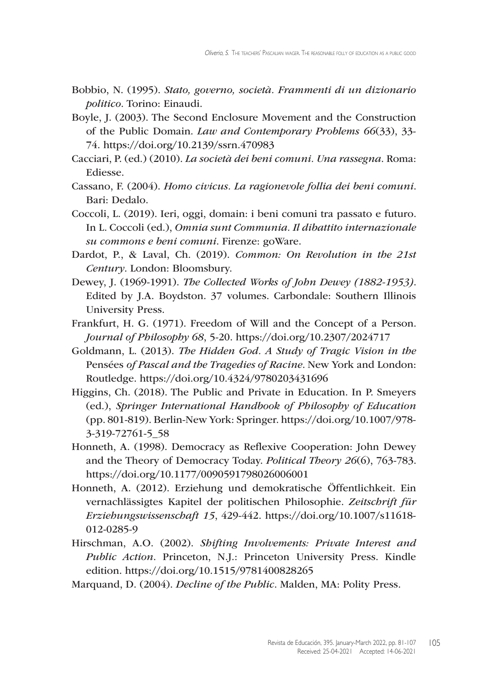- Bobbio, N. (1995). *Stato, governo, società. Frammenti di un dizionario politico*. Torino: Einaudi.
- Boyle, J. (2003). The Second Enclosure Movement and the Construction of the Public Domain. *Law and Contemporary Problems 66*(33), 33- 74.<https://doi.org/10.2139/ssrn.470983>
- Cacciari, P. (ed.) (2010). *La società dei beni comuni. Una rassegna*. Roma: Ediesse.
- Cassano, F. (2004). *Homo civicus. La ragionevole follia dei beni comuni*. Bari: Dedalo.
- Coccoli, L. (2019). Ieri, oggi, domain: i beni comuni tra passato e futuro. In L. Coccoli (ed.), *Omnia sunt Communia. Il dibattito internazionale su commons e beni comuni*. Firenze: goWare.
- Dardot, P., & Laval, Ch. (2019). *Common: On Revolution in the 21st Century*. London: Bloomsbury.
- Dewey, J. (1969-1991). *The Collected Works of John Dewey (1882-1953)*. Edited by J.A. Boydston. 37 volumes. Carbondale: Southern Illinois University Press.
- Frankfurt, H. G. (1971). Freedom of Will and the Concept of a Person. *Journal of Philosophy 68*, 5-20. <https://doi.org/10.2307/2024717>
- Goldmann, L. (2013). *The Hidden God. A Study of Tragic Vision in the*  Pensées *of Pascal and the Tragedies of Racine*. New York and London: Routledge.<https://doi.org/10.4324/9780203431696>
- Higgins, Ch. (2018). The Public and Private in Education. In P. Smeyers (ed.), *Springer International Handbook of Philosophy of Education* (pp. 801-819). Berlin-New York: Springer.<https://doi.org/10.1007/978>- 3-319-72761-5\_58
- Honneth, A. (1998). Democracy as Reflexive Cooperation: John Dewey and the Theory of Democracy Today. *Political Theory 26*(6), 763-783. <https://doi.org/10.1177/0090591798026006001>
- Honneth, A. (2012). Erziehung und demokratische Öffentlichkeit. Ein vernachlässigtes Kapitel der politischen Philosophie. *Zeitschrift für Erziehungswissenschaft 15*, 429-442. <https://doi.org/10.1007/s11618>- 012-0285-9
- Hirschman, A.O. (2002). *Shifting Involvements: Private Interest and Public Action*. Princeton, N.J.: Princeton University Press. Kindle edition. <https://doi.org/10.1515/9781400828265>

Marquand, D. (2004). *Decline of the Public*. Malden, MA: Polity Press.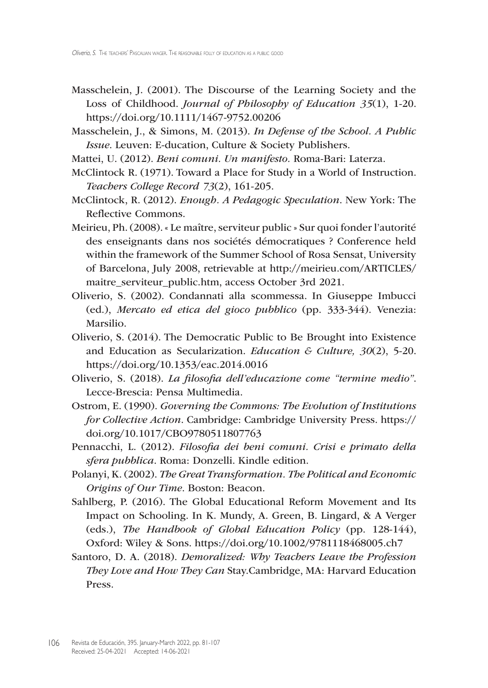- Masschelein, J. (2001). The Discourse of the Learning Society and the Loss of Childhood. *Journal of Philosophy of Education 35*(1), 1-20. <https://doi.org/10.1111/1467-9752.00206>
- Masschelein, J., & Simons, M. (2013). *In Defense of the School. A Public Issue*. Leuven: E-ducation, Culture & Society Publishers.
- Mattei, U. (2012). *Beni comuni. Un manifesto.* Roma-Bari: Laterza.
- McClintock R. (1971). Toward a Place for Study in a World of Instruction. *Teachers College Record 73*(2), 161-205.
- McClintock, R. (2012). *Enough. A Pedagogic Speculation*. New York: The Reflective Commons.
- Meirieu, Ph. (2008). « Le maître, serviteur public » Sur quoi fonder l'autorité des enseignants dans nos sociétés démocratiques ? Conference held within the framework of the Summer School of Rosa Sensat, University of Barcelona, July 2008, retrievable at [http://meirieu.com/ARTICLES/](http://meirieu.com/ARTICLES/maitre_serviteur_public.htm) [maitre\\_serviteur\\_public.htm](http://meirieu.com/ARTICLES/maitre_serviteur_public.htm), access October 3rd 2021.
- Oliverio, S. (2002). Condannati alla scommessa. In Giuseppe Imbucci (ed.), *Mercato ed etica del gioco pubblico* (pp. 333-344). Venezia: Marsilio.
- Oliverio, S. (2014). The Democratic Public to Be Brought into Existence and Education as Secularization. *Education & Culture, 30*(2), 5-20. <https://doi.org/10.1353/eac.2014.0016>
- Oliverio, S. (2018). *La filosofia dell'educazione come "termine medio"*. Lecce-Brescia: Pensa Multimedia.
- Ostrom, E. (1990). *Governing the Commons: The Evolution of Institutions for Collective Action*. Cambridge: Cambridge University Press. [https://](https://doi.org/10.1017/CBO9780511807763) [doi.org/10.1017/CBO9780511807763](https://doi.org/10.1017/CBO9780511807763)
- Pennacchi, L. (2012). *Filosofia dei beni comuni. Crisi e primato della sfera pubblica*. Roma: Donzelli. Kindle edition.
- Polanyi, K. (2002). *The Great Transformation. The Political and Economic Origins of Our Time*. Boston: Beacon.
- Sahlberg, P. (2016). The Global Educational Reform Movement and Its Impact on Schooling. In K. Mundy, A. Green, B. Lingard, & A Verger (eds.), *The Handbook of Global Education Policy* (pp. 128-144), Oxford: Wiley & Sons.<https://doi.org/10.1002/9781118468005.ch7>
- Santoro, D. A. (2018). *Demoralized: Why Teachers Leave the Profession They Love and How They Can* [Stay.Cambridge,](Stay.Cambridge) MA: Harvard Education Press.